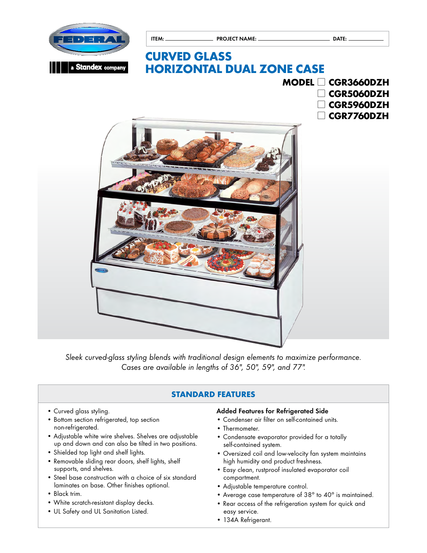

*Sleek curved-glass styling blends with traditional design elements to maximize performance. Cases are available in lengths of 36", 50", 59", and 77".* 

# **STANDARD FEATURES**

- Curved glass styling.
- Bottom section refrigerated, top section non-refrigerated.
- Adjustable white wire shelves. Shelves are adjustable up and down and can also be tilted in two positions.
- Shielded top light and shelf lights.
- Removable sliding rear doors, shelf lights, shelf supports, and shelves.
- Steel base construction with a choice of six standard laminates on base. Other finishes optional.
- Black trim.
- White scratch-resistant display decks.
- UL Safety and UL Sanitation Listed.

### Added Features for Refrigerated Side

- Condenser air filter on self-contained units.
- Thermometer.
- Condensate evaporator provided for a totally self-contained system.
- Oversized coil and low-velocity fan system maintains high humidity and product freshness.
- Easy clean, rustproof insulated evaporator coil compartment.
- Adjustable temperature control.
- Average case temperature of 38° to 40° is maintained.
- Rear access of the refrigeration system for quick and easy service.
- 134A Refrigerant.